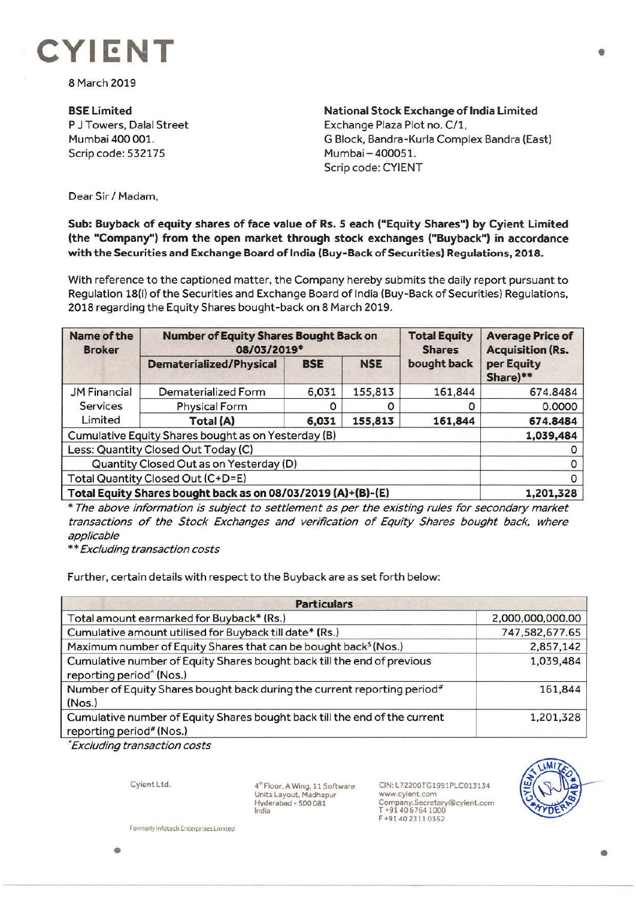

8 March 2019

**BSELimited**  P J Towers, Dalal Street Mumbai 400 001. Scrip code: 532175

**National Stock Exchange of India Limited**  Exchange Plaza Plot no. C/1, G Block, Bandra-Kurla Complex Sandra (East) Mumbai - 400051. Scrip code: CYIENT

Dear Sir/ Madam,

## **Sub: Buyback of equity shares of face value of Rs. S each ("Equity Shares") by Cyient Limited (the "Company") from the open market through stock exchanges ("Buyback") in accordance with the Securities and Exchange Board of India (Buy-Back of Securities) Regulations, 2018.**

With reference to the captioned matter, the Company hereby submits the daily report pursuant to Regulation 18(i) of the Securities and Exchange Board of India (Buy-Back of Securities) Regulations, 2018 regarding the Equity Shares bought-back on 8 March 2019.

| Name of the<br><b>Broker</b>                                 | <b>Number of Equity Shares Bought Back on</b><br>08/03/2019* |            |            | <b>Total Equity</b><br><b>Shares</b> | <b>Average Price of</b><br><b>Acquisition (Rs.</b> |
|--------------------------------------------------------------|--------------------------------------------------------------|------------|------------|--------------------------------------|----------------------------------------------------|
|                                                              | <b>Dematerialized/Physical</b>                               | <b>BSE</b> | <b>NSE</b> | bought back                          | per Equity<br>Share)**                             |
| <b>JM Financial</b>                                          | Dematerialized Form                                          | 6,031      | 155,813    | 161,844                              | 674.8484                                           |
| <b>Services</b>                                              | <b>Physical Form</b>                                         |            | 0          | Ω                                    | 0.0000                                             |
| Limited                                                      | Total (A)                                                    | 6,031      | 155,813    | 161,844                              | 674.8484                                           |
| Cumulative Equity Shares bought as on Yesterday (B)          |                                                              |            |            |                                      | 1,039,484                                          |
| Less: Quantity Closed Out Today (C)                          |                                                              |            |            |                                      |                                                    |
| Quantity Closed Out as on Yesterday (D)                      |                                                              |            |            |                                      |                                                    |
| Total Quantity Closed Out (C+D=E)                            |                                                              |            |            |                                      |                                                    |
| Total Equity Shares bought back as on 08/03/2019 (A)+(B)-(E) |                                                              |            |            |                                      | 1,201,328                                          |

\* The above information is subject to settlement as per the existing rules for secondary market transactions of the Stock Exchanges and verification of Equity Shares bought back, where applicable

\* \* Excluding transaction costs

Further, certain details with respect to the Buyback are as set forth below:

| <b>Particulars</b>                                                                                              |                  |  |  |  |
|-----------------------------------------------------------------------------------------------------------------|------------------|--|--|--|
| Total amount earmarked for Buyback* (Rs.)                                                                       | 2,000,000,000.00 |  |  |  |
| Cumulative amount utilised for Buyback till date* (Rs.)                                                         | 747,582,677.65   |  |  |  |
| Maximum number of Equity Shares that can be bought back <sup>\$</sup> (Nos.)                                    | 2,857,142        |  |  |  |
| Cumulative number of Equity Shares bought back till the end of previous<br>reporting period <sup>^</sup> (Nos.) | 1,039,484        |  |  |  |
| Number of Equity Shares bought back during the current reporting period#<br>(Nos.)                              | 161,844          |  |  |  |
| Cumulative number of Equity Shares bought back till the end of the current<br>reporting period# (Nos.)          | 1,201,328        |  |  |  |

• Excluding transaction costs

Cyient Ltd.

4" Floor, A Wing, 11 Software Units Layout, Madhapur Hyderabad - 5 00 081 India

CIN:L72200TG1991PLC013134 www.cylent.com Company.Secretary@cyient.com T +91 40 6764 1000 F +9140 2311 0352



Formerly Infotech Enterprises Limited